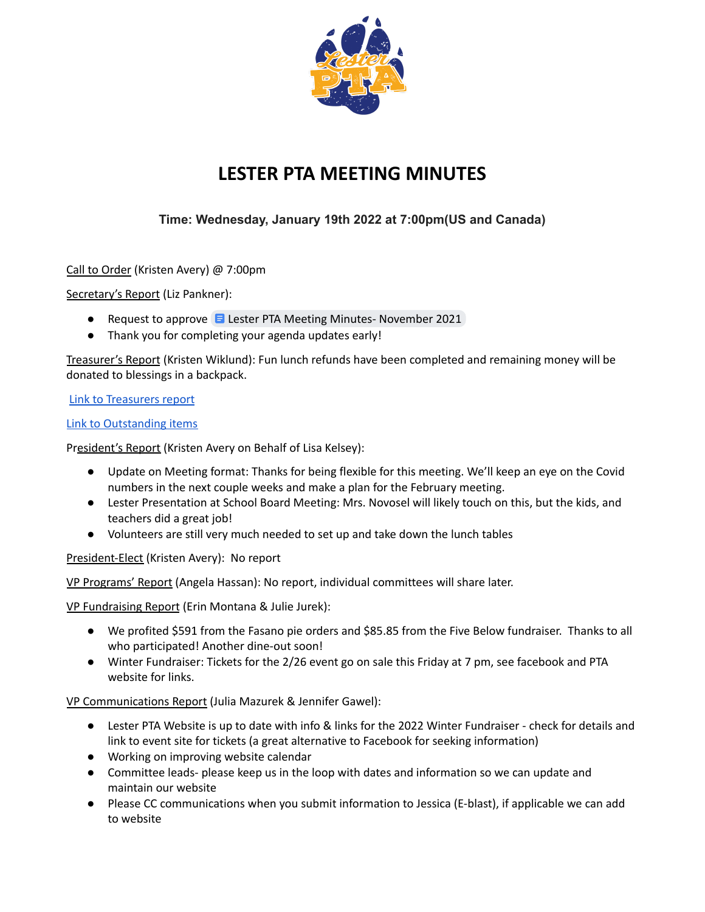

## **LESTER PTA MEETING MINUTES**

## **Time: Wednesday, January 19th 2022 at 7:00pm(US and Canada)**

Call to Order (Kristen Avery) @ 7:00pm

Secretary's Report (Liz Pankner):

- Request to approve  $\blacksquare$  Lester PTA Meeting Minutes-[November](https://docs.google.com/document/d/1-YiiulonS6bLTocu6adjiO6nccegVjlDbcR1N4Tdke8/edit?usp=sharing) 2021
- Thank you for completing your agenda updates early!

Treasurer's Report (Kristen Wiklund): Fun lunch refunds have been completed and remaining money will be donated to blessings in a backpack.

Link to [Treasurers](https://drive.google.com/file/d/1E9yusBkuonAXgFgYeuqTByDhxopvZCNG/view?usp=sharing) report

Link to [Outstanding](https://drive.google.com/file/d/1HGU5urMF5TpDxK9xMV1u88Xz3kC1wl8h/view?usp=sharing) items

President's Report (Kristen Avery on Behalf of Lisa Kelsey):

- Update on Meeting format: Thanks for being flexible for this meeting. We'll keep an eye on the Covid numbers in the next couple weeks and make a plan for the February meeting.
- Lester Presentation at School Board Meeting: Mrs. Novosel will likely touch on this, but the kids, and teachers did a great job!
- Volunteers are still very much needed to set up and take down the lunch tables

President-Elect (Kristen Avery): No report

VP Programs' Report (Angela Hassan): No report, individual committees will share later.

VP Fundraising Report (Erin Montana & Julie Jurek):

- We profited \$591 from the Fasano pie orders and \$85.85 from the Five Below fundraiser. Thanks to all who participated! Another dine-out soon!
- Winter Fundraiser: Tickets for the 2/26 event go on sale this Friday at 7 pm, see facebook and PTA website for links.

VP Communications Report (Julia Mazurek & Jennifer Gawel):

- Lester PTA Website is up to date with info & links for the 2022 Winter Fundraiser check for details and link to event site for tickets (a great alternative to Facebook for seeking information)
- Working on improving website calendar
- Committee leads- please keep us in the loop with dates and information so we can update and maintain our website
- Please CC communications when you submit information to Jessica (E-blast), if applicable we can add to website